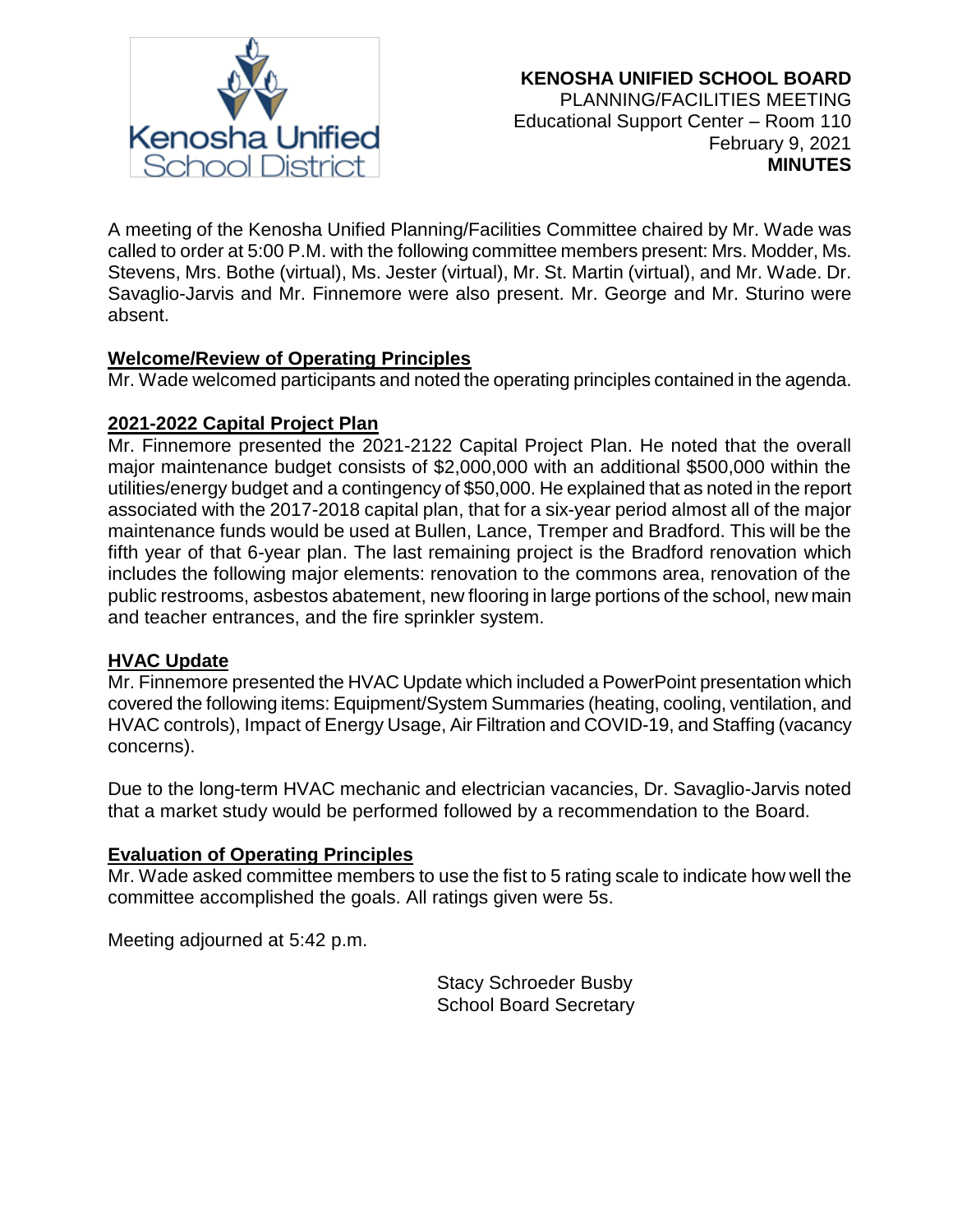

A meeting of the Kenosha Unified Planning/Facilities Committee chaired by Mr. Wade was called to order at 5:00 P.M. with the following committee members present: Mrs. Modder, Ms. Stevens, Mrs. Bothe (virtual), Ms. Jester (virtual), Mr. St. Martin (virtual), and Mr. Wade. Dr. Savaglio-Jarvis and Mr. Finnemore were also present. Mr. George and Mr. Sturino were absent.

# **Welcome/Review of Operating Principles**

Mr. Wade welcomed participants and noted the operating principles contained in the agenda.

## **2021-2022 Capital Project Plan**

Mr. Finnemore presented the 2021-2122 Capital Project Plan. He noted that the overall major maintenance budget consists of \$2,000,000 with an additional \$500,000 within the utilities/energy budget and a contingency of \$50,000. He explained that as noted in the report associated with the 2017-2018 capital plan, that for a six-year period almost all of the major maintenance funds would be used at Bullen, Lance, Tremper and Bradford. This will be the fifth year of that 6-year plan. The last remaining project is the Bradford renovation which includes the following major elements: renovation to the commons area, renovation of the public restrooms, asbestos abatement, new flooring in large portions of the school, new main and teacher entrances, and the fire sprinkler system.

## **HVAC Update**

Mr. Finnemore presented the HVAC Update which included a PowerPoint presentation which covered the following items: Equipment/System Summaries (heating, cooling, ventilation, and HVAC controls), Impact of Energy Usage, Air Filtration and COVID-19, and Staffing (vacancy concerns).

Due to the long-term HVAC mechanic and electrician vacancies, Dr. Savaglio-Jarvis noted that a market study would be performed followed by a recommendation to the Board.

## **Evaluation of Operating Principles**

Mr. Wade asked committee members to use the fist to 5 rating scale to indicate how well the committee accomplished the goals. All ratings given were 5s.

Meeting adjourned at 5:42 p.m.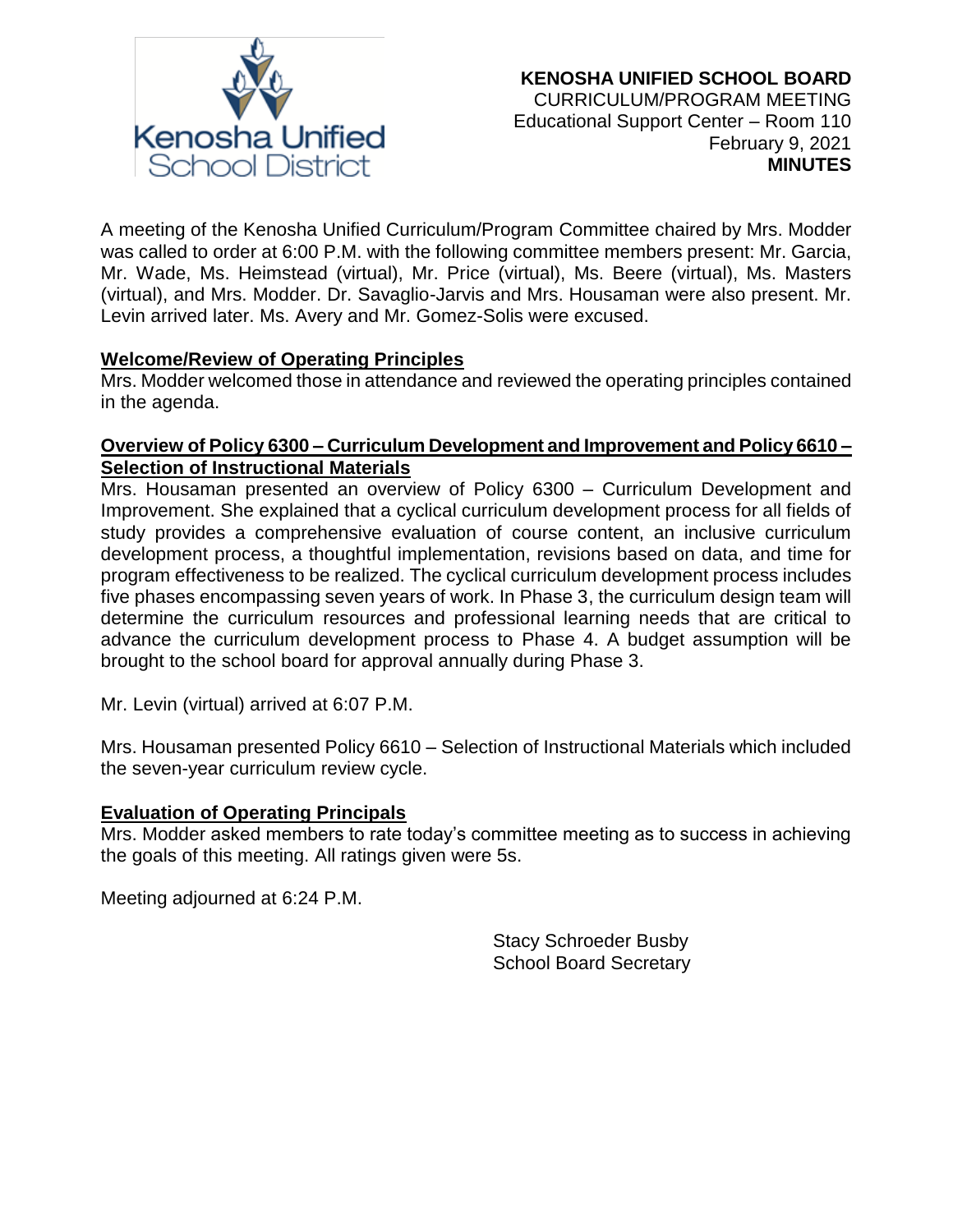

A meeting of the Kenosha Unified Curriculum/Program Committee chaired by Mrs. Modder was called to order at 6:00 P.M. with the following committee members present: Mr. Garcia, Mr. Wade, Ms. Heimstead (virtual), Mr. Price (virtual), Ms. Beere (virtual), Ms. Masters (virtual), and Mrs. Modder. Dr. Savaglio-Jarvis and Mrs. Housaman were also present. Mr. Levin arrived later. Ms. Avery and Mr. Gomez-Solis were excused.

## **Welcome/Review of Operating Principles**

Mrs. Modder welcomed those in attendance and reviewed the operating principles contained in the agenda.

## **Overview of Policy 6300 – Curriculum Development and Improvement and Policy 6610 – Selection of Instructional Materials**

Mrs. Housaman presented an overview of Policy 6300 – Curriculum Development and Improvement. She explained that a cyclical curriculum development process for all fields of study provides a comprehensive evaluation of course content, an inclusive curriculum development process, a thoughtful implementation, revisions based on data, and time for program effectiveness to be realized. The cyclical curriculum development process includes five phases encompassing seven years of work. In Phase 3, the curriculum design team will determine the curriculum resources and professional learning needs that are critical to advance the curriculum development process to Phase 4. A budget assumption will be brought to the school board for approval annually during Phase 3.

Mr. Levin (virtual) arrived at 6:07 P.M.

Mrs. Housaman presented Policy 6610 – Selection of Instructional Materials which included the seven-year curriculum review cycle.

## **Evaluation of Operating Principals**

Mrs. Modder asked members to rate today's committee meeting as to success in achieving the goals of this meeting. All ratings given were 5s.

Meeting adjourned at 6:24 P.M.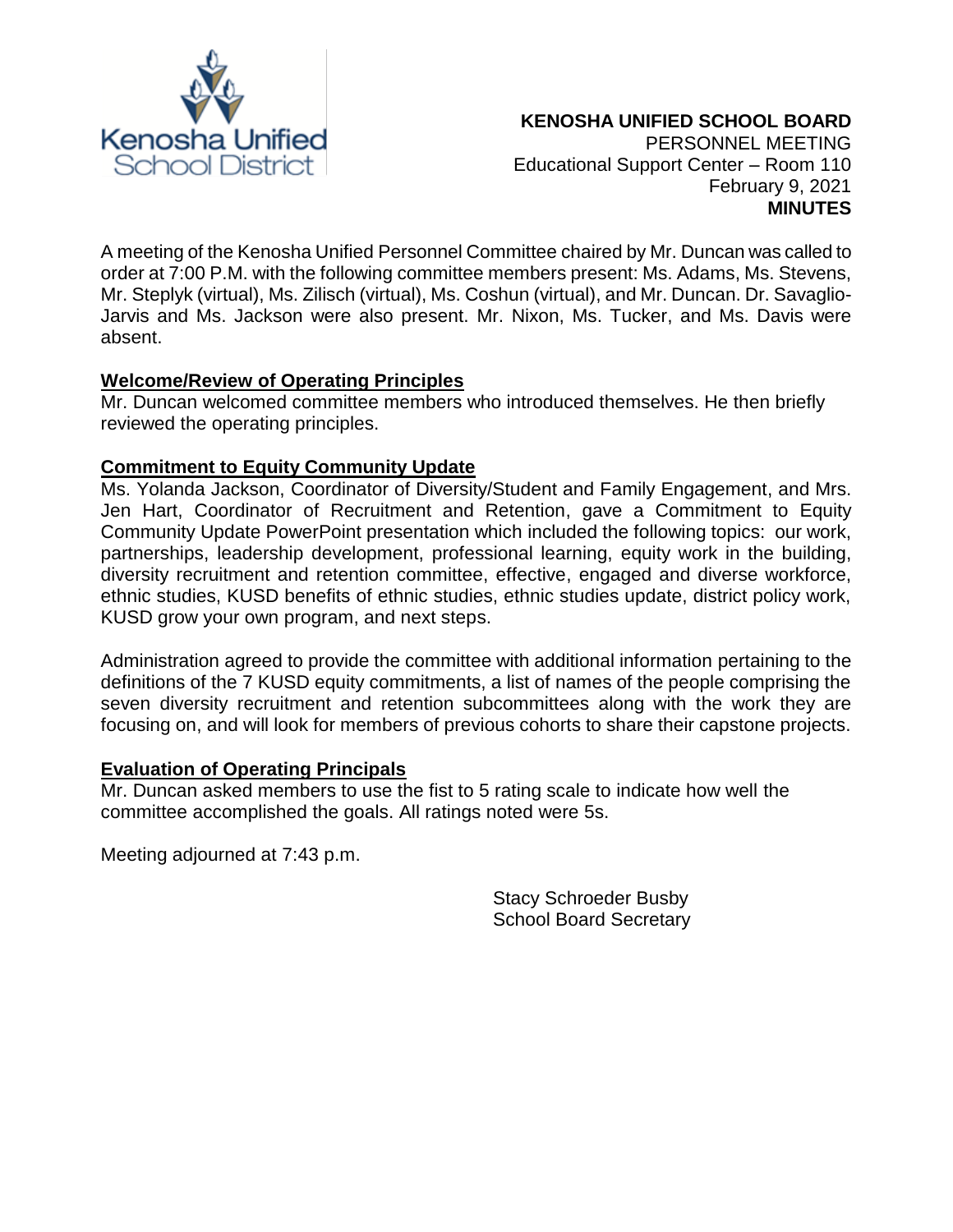

A meeting of the Kenosha Unified Personnel Committee chaired by Mr. Duncan was called to order at 7:00 P.M. with the following committee members present: Ms. Adams, Ms. Stevens, Mr. Steplyk (virtual), Ms. Zilisch (virtual), Ms. Coshun (virtual), and Mr. Duncan. Dr. Savaglio-Jarvis and Ms. Jackson were also present. Mr. Nixon, Ms. Tucker, and Ms. Davis were absent.

## **Welcome/Review of Operating Principles**

Mr. Duncan welcomed committee members who introduced themselves. He then briefly reviewed the operating principles.

## **Commitment to Equity Community Update**

Ms. Yolanda Jackson, Coordinator of Diversity/Student and Family Engagement, and Mrs. Jen Hart, Coordinator of Recruitment and Retention, gave a Commitment to Equity Community Update PowerPoint presentation which included the following topics: our work, partnerships, leadership development, professional learning, equity work in the building, diversity recruitment and retention committee, effective, engaged and diverse workforce, ethnic studies, KUSD benefits of ethnic studies, ethnic studies update, district policy work, KUSD grow your own program, and next steps.

Administration agreed to provide the committee with additional information pertaining to the definitions of the 7 KUSD equity commitments, a list of names of the people comprising the seven diversity recruitment and retention subcommittees along with the work they are focusing on, and will look for members of previous cohorts to share their capstone projects.

## **Evaluation of Operating Principals**

Mr. Duncan asked members to use the fist to 5 rating scale to indicate how well the committee accomplished the goals. All ratings noted were 5s.

Meeting adjourned at 7:43 p.m.